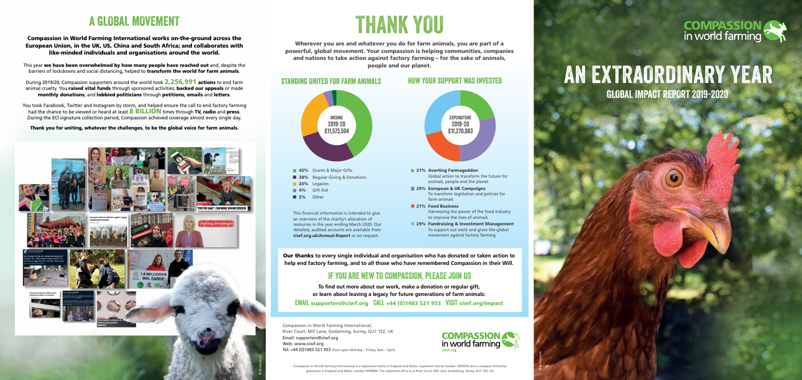# THANK YOU

Wherever you are and whatever you do for farm animals, you are part of a powerful, global movement. Your compassion is helping communities, companies and nations to take action against factory farming – for the sake of animals, people and our planet.

### STANDING UNITED FOR FARM ANIMALS HOW YOUR SUPPORT WAS INVESTED

Compassion in World Farming International, River Court, Mill Lane, Godalming, Surrey, GU7 1EZ, UK **Email: supporters@ciwf.org Web: www.ciwf.org Tel: +44 (0)1483 521 953** (lines open Monday – Friday, 9am – 5pm)

During 2019/20, Compassion supporters around the world took **2,256,991 actions** to end farm animal cruelty. You raised vital funds through sponsored activities; backed our appeals or made monthly donations; and lobbied politicians through petitions, emails and letters.

# A GLOBAL MOVEMENT

### Compassion in World Farming International works on-the-ground across the European Union, in the UK, US, China and South Africa; and collaborates with like-minded individuals and organisations around the world.

This year we have been overwhelmed by how many people have reached out and, despite the barriers of lockdowns and social distancing, helped to **transform the world for farm animals**.

You took Facebook, Twitter and Instagram by storm, and helped ensure the call to end factory farming had the chance to be viewed or heard at least **8 BILLION** times through TV, radio and press. During the ECI signature collection period, Compassion achieved coverage almost every single day.





 $\mathbf{C}$  is a fixed point  $\mathbf{C}$ 

Our thanks **to every single individual and organisation who has donated or taken action to help end factory farming, and to all those who have remembered Compassion in their Will.**

**To find out more about our work, make a donation or regular gift, or learn about leaving a legacy for future generations of farm animals:** EMAIL supporters@ciwf.org CALL +44 (0)1483 521 953 VISIT ciwf.org/Impact

### IF YOU ARE NEW TO COMPASSION, PLEASE JOIN US

Thank you for uniting, whatever the challenges, to be the global voice for farm animals.



Compassion in World Farming International is a registered charity in England and Wales, registered charity number 1095050; and a company limited by guarantee in England and Wales, number 4590804. The registered office is at River Court, Mill Lane, Godalming, Surrey, GU7 1EZ, UK

This financial information is intended to give an overview of the charity's allocation of resources in the year ending March 2020. Our detailed, audited accounts are available from ciwf.org.uk/Annual-Report or on request.

# AN EXTRAORDINARY YEAR GLOBAL IMPACT REPORT 2019-2020

© Shutterstock

# **COMPASSION**